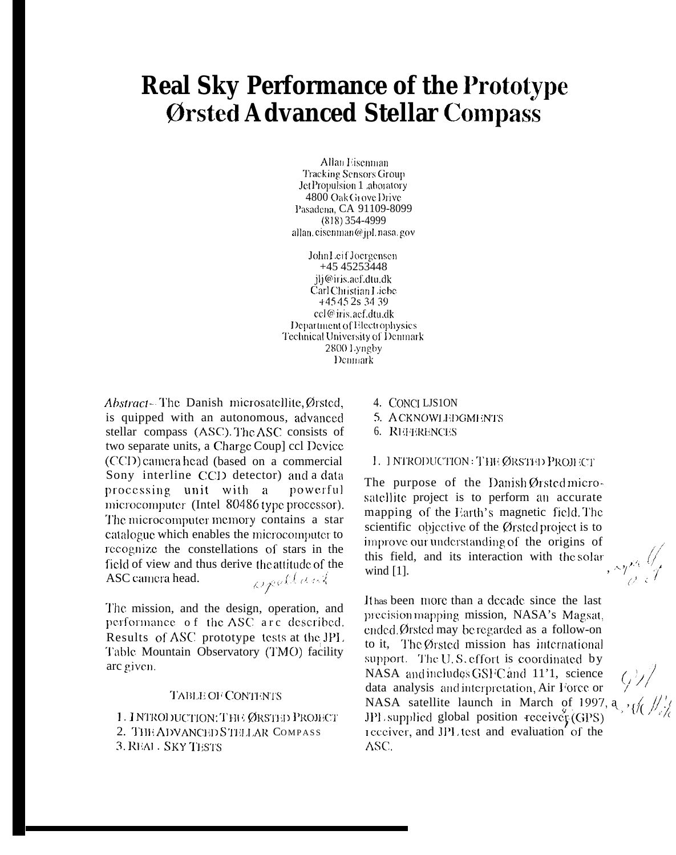# **Real Sky Performance of the Prototype** Ørsted Advanced Stellar Compass

Allan Eisenman **Tracking Sensors Group** Jet Propulsion 1 .aboratory 4800 Oak Grove Drive Pasadena, CA 91109-8099  $(818)$  354-4999 allan. cisenman@jpl. nasa.gov

John Leif Joergensen +45 45253448 ili@iris.aef.dtu.dk Carl Christian Liebe +45452s 3439 ccl@iris.aef.dtu.dk Department of Electrophysics **Technical University of Denmark** 2800 Lyngby Denmark

Abstract-The Danish microsatellite, Ørsted, is quipped with an autonomous, advanced stellar compass (ASC). The ASC consists of two separate units, a Charge Coup] ccl Device (CCD) camera head (based on a commercial Sony interline CCD detector) and a data processing unit with a powerful microcomputer (Intel 80486 type processor). The microcomputer memory contains a star catalogue which enables the microcomputer to recognize the constellations of stars in the field of view and thus derive the attitude of the welland ASC camera head.

The mission, and the design, operation, and performance of the ASC arc described. Results of ASC prototype tests at the JPL Table Mountain Observatory (TMO) facility arc given.

### TABLE OF CONTENTS

1. INTRODUCTION: THE ØRSTED PROJECT 2. THE ADVANCED STELLAR COMPASS 3. REAL . SKY TESTS

- 4. CONCLLJS1ON
- 5. ACKNOWLEDGMENTS
- 6. REFERENCES

### 1. INTRODUCTION: THE ØRSTED PROJECT

The purpose of the Danish Ørsted microsatellite project is to perform an accurate mapping of the Earth's magnetic field. The scientific objective of the Ørsted project is to improve our understanding of the origins of this field, and its interaction with the solar wind  $[1]$ .

It has been more than a decade since the last precision mapping mission, NASA's Magsat, ended. Ørsted may be regarded as a follow-on to it, The Ørsted mission has international support. The U.S. effort is coordinated by NASA and includes GSFC and 11'1, science data analysis and interpretation, Air Force or NASA satellite launch in March of 1997, a  $\frac{1}{2}$ JPL supplied global position receiver (GPS) receiver, and JPL test and evaluation of the ASC.

 $QY_t$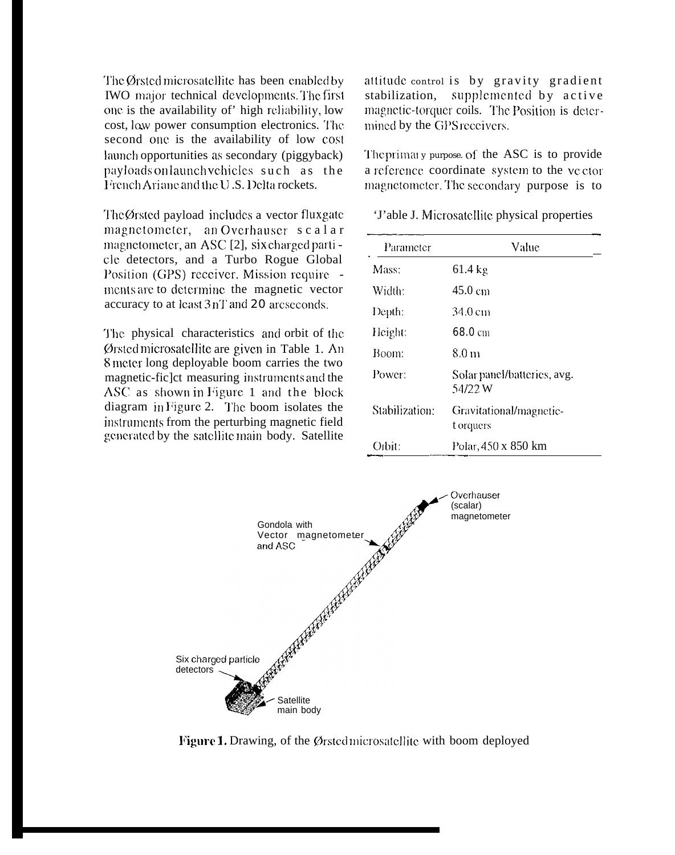The Ørsted microsatellite has been enabled by **IWO** major technical developments. The first one is the availability of' high reliability, low cost, low power consumption electronics. The second onc is the availability of low cost launch opportunities as secondary (piggyback)  $p$ ayloads on launch vchicles such as the French Ari and and the U.S. Delta rockets.

The  $\emptyset$ rsted payload includes a vector fluxgate. magnetometer, an Overhauser scalar magnetometer, an ASC [2], six charged parti -CIC detectors, and a Turbo Rogue Global Position (GPS) receiver. Mission require mcnts are to dctcrminc the magnetic vector accuracy to at least  $3 \text{ nT}$  and  $20$  arcseconds,

The physical characteristics and orbit of the.  $\emptyset$ rsted microsatellite are given in Table 1. An 8 meter long deployable boom carries the two magnetic-fic]ct measuring jnstrumcmts and the ASC as shown in Figure 1 and the block diagram in Figure 2. The boom isolates the jnstrumcnts from the perturbing magnetic field generated by the satellite main body. Satellite attitude control is by gravity gradient stabilization, supplemented by active magnetic-torquer coils. The Position is determined by the GPS receivers.

The primal y purpose. of the  $ASC$  is to provide a reference coordinate system to the vector magnetometer. The secondary purpose is to

'J'able J. Microsatellite physical properties

| Parameter      | Value                                  |
|----------------|----------------------------------------|
| Mass:          | $61.4 \text{ kg}$                      |
| Width:         | 45.0 cm                                |
| Depth:         | 34.0 cm                                |
| Height:        | 68.0cm                                 |
| Boom:          | 8.0 m                                  |
| Power:         | Solar panel/batteries, avg.<br>54/22 W |
| Stabilization: | Gravitational/magnetic-<br>t orquers   |
| Orbit:         | Polar, 450 x 850 km                    |



Figure 1. Drawing, of the Ørsted microsatellite with boom deployed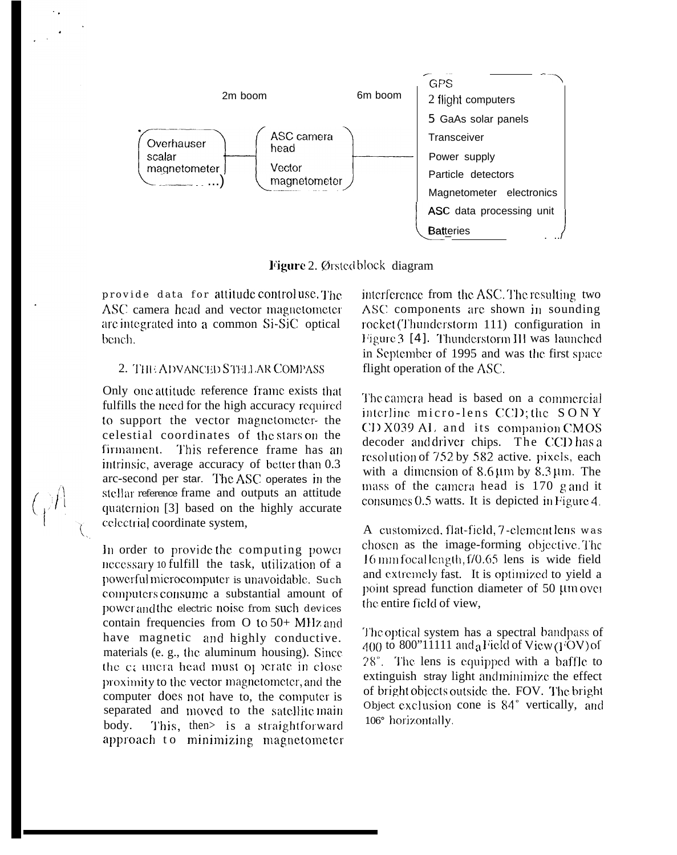

Figure 2. Ørsted block diagram

provide data for attitude controluse. The ASC camera head and vector magnetometer are integrated into a common Si-SiC optical bench.

## 2. THE ADVANCED STELLAR COMPASS

Only one attitude reference frame exists that fulfills the need for the high accuracy required to support the vector magnetometer- the celestial coordinates of the stars on the firmament. This reference frame has an intrinsic, average accuracy of better than 0.3 arc-second per star. The ASC operates in the stellar reference frame and outputs an attitude quaternion [3] based on the highly accurate celectrial coordinate system,

In order to provide the computing power necessary to fulfill the task, utilization of a powerful microcomputer is unavoidable. Such computers consume a substantial amount of power and the electric noise from such devices contain frequencies from  $O$  to  $50+$  MHz and have magnetic and highly conductive. materials (e. g., the aluminum housing). Since the ca unera head must of perate in close proximity to the vector magnetometer, and the computer does not have to, the computer is separated and moved to the satellite main body. This, then is a straightforward approach to minimizing magnetometer interference from the ASC. The resulting two ASC components are shown in sounding rocket (Thunderstorm 111) configuration in Figure 3 [4]. Thunderstorm III was launched in September of 1995 and was the first space flight operation of the ASC.

The camera head is based on a commercial interline micro-lens CCD; the SONY CD X039 AL and its companion CMOS decoder and driver chips. The CCD has a resolution of 752 by 582 active. pixels, each with a dimension of  $8.6 \,\mu m$  by  $8.3 \,\mu m$ . The mass of the camera head is 170 g and it consumes 0.5 watts. It is depicted in Figure 4.

A customized, flat-field, 7-element lens was chosen as the image-forming objective. The 16 mm focal length, f/0.65 lens is wide field and extremely fast. It is optimized to yield a point spread function diameter of 50 µm over the entire field of view,

The optical system has a spectral bandpass of  $400$  to 800"11111 and a Field of View (FOV) of 28°. The lens is equipped with a baffle to extinguish stray light and minimize the effect of bright objects outside the. FOV. The bright Object exclusion cone is 84° vertically, and 106° horizontally.

 $\mathbb{Q}^{\mathbb{A}}$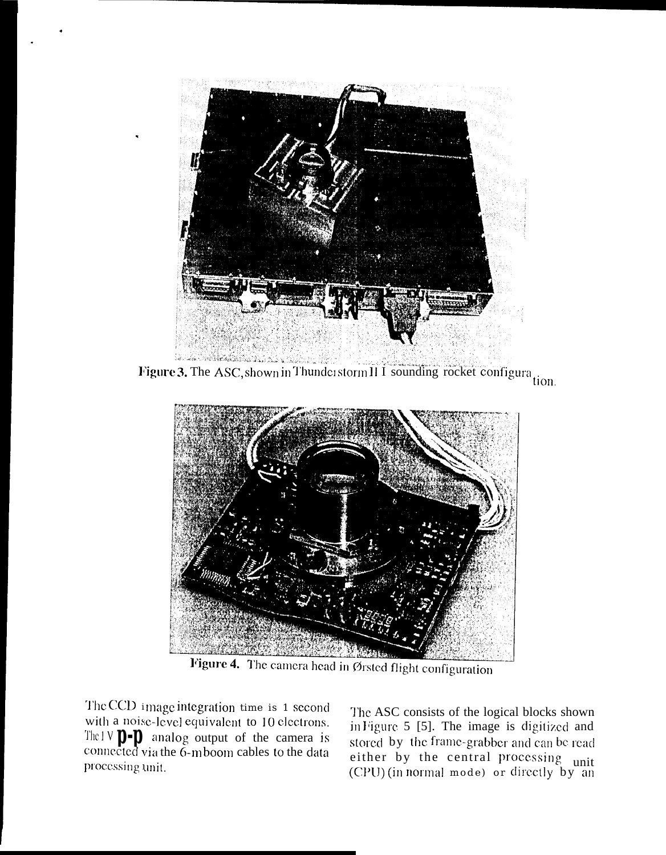

Figure 3. The ASC, shown in Thunderstorm II I sounding rocket configuration.



Figure 4. The camera head in Ørsted flight configuration

The CCD image integration time is 1 second with a noise-level equivalent to 10 electrons. The  $1 \vee \mathbf{D}$ - $\mathbf{D}$  analog output of the camera is connected via the 6-m boom cables to the data processing unit.

The ASC consists of the logical blocks shown in Figure 5 [5]. The image is digitized and stored by the frame-grabber and can be read<br>either by the central processing unit<br>(CPU) (in normal mode) or directly by an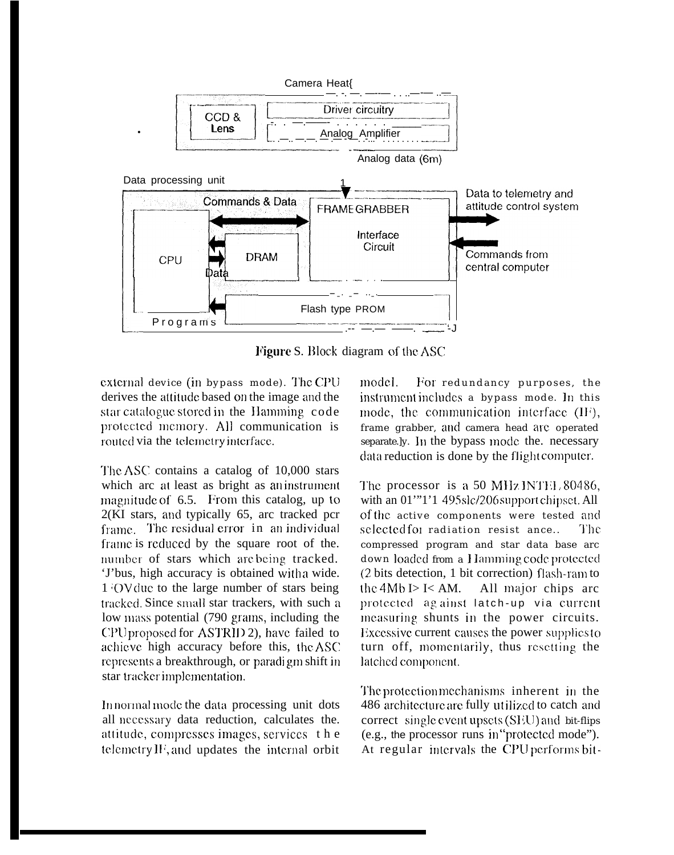

Figure S. Block diagram of the ASC

external device (in bypass mode). The CPU derives the attitude based on the image and the star catalogue stored in the Hamming code protected memory. All communication is routed via the telemetry interface.

The ASC contains a catalog of 10,000 stars which arc at least as bright as an instrument magnitude of 6.5. From this catalog, up to  $2(KI)$  stars, and typically 65, arc tracked pcr frame. The residual error in an individual frame is reduced by the square root of the. number of stars which are being tracked. 'J'bus, high accuracy is obtained with a wide. 1 OV due to the large number of stars being tracked. Since small star trackers, with such a low mass potential (790 grams, including the CPU proposed for ASTRID 2), have failed to achieve high accuracy before this, the ASC represents a breakthrough, or paradigm shift in star tracker implementation.

In normal mode the data processing unit dots all necessary data reduction, calculates the. attitude, compresses images, services the telemetry IF, and updates the internal orbit

model. For redundancy purposes, the instrument includes a bypass mode. In this mode, the communication interface (IF), frame grabber, and camera head are operated separate.ly. In the bypass mode the. necessary data reduction is done by the flight computer.

The processor is a 50 MHz INTH 80486, with an 01"'1'1 495slc/206 support chipset. All of the active components were tested and selected for radiation resist ance... The compressed program and star data base arc down loaded from a Hamming code protected (2 bits detection, 1 bit correction) flash-ram to the  $4Mb$   $I > I < AM$ . All major chips arc protected against latch-up via current measuring shunts in the power circuits. Excessive current causes the power supplies to turn off, momentarily, thus resetting the latched component.

The protection mechanisms inherent in the 486 architecture are fully utilized to catch and correct single event upsets (SEU) and bit-flips (e.g., the processor runs in "protected mode"). At regular intervals the CPU performs bit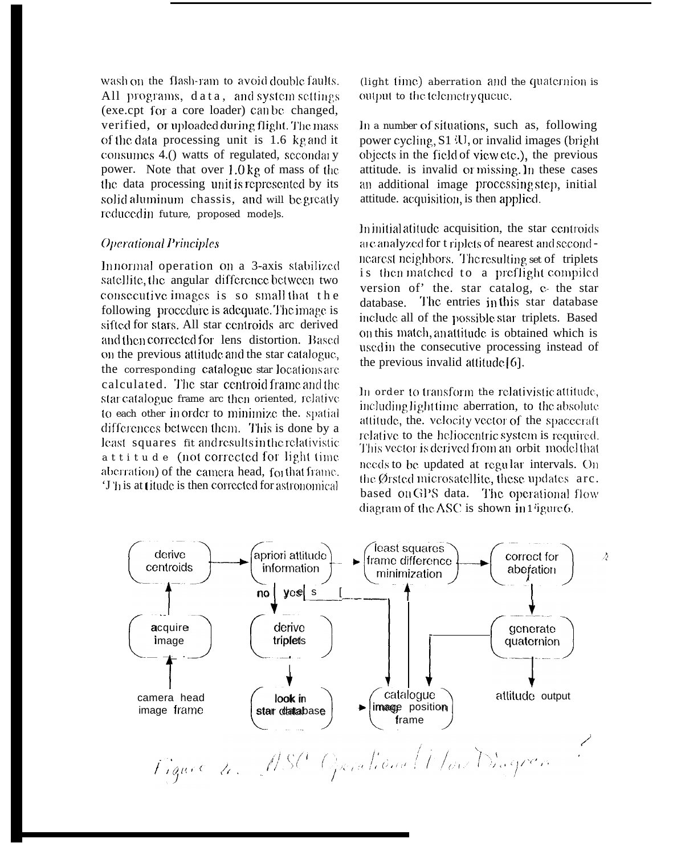wash on the flash-ram to avoid double faults. All programs, data, and system settings (exe.cpt for a core loader) can be changed, verified, or uploaded during flight. The mass of the data processing unit is 1.6 kg and it consumes 4.() watts of regulated, secondary power. Note that over  $1.0 \text{ kg}$  of mass of the the data processing unit is represented by its solid aluminum chassis, and will be greatly reduced in future, proposed models.

## **Operational Principles**

Innormal operation on a 3-axis stabilized satellite, the angular difference between two consecutive images is so small that the following procedure is adequate. The image is sifted for stars. All star centroids are derived and then corrected for lens distortion. Based on the previous attitude and the star catalogue, the corresponding catalogue star locations are calculated. The star centroid frame and the star catalogue frame arc then oriented, relative to each other in order to minimize the. spatial differences between them. This is done by a least squares fit and results in the relativistic attitude (not corrected for light time aberration) of the camera head, for that frame. 'J'his at titude is then corrected for astronomical

(light time) aberration and the quaternion is output to the telemetry queue.

In a number of situations, such as, following power cycling, S1 <sup>{U}</sup>, or invalid images (bright) objects in the field of view etc.), the previous attitude. is invalid or missing. In these cases an additional image processing step, initial attitude. acquisition, is then applied.

In initial atitude acquisition, the star centroids are analyzed for triplets of nearest and secondnearest neighbors. The resulting set of triplets is then matched to a preflight compiled version of' the. star catalog, c- the star database. The entries in this star database include all of the possible star triplets. Based on this match, an attitude is obtained which is used in the consecutive processing instead of the previous invalid attitude  $[6]$ .

In order to transform the relativistic attitude, including light time aberration, to the absolute attitude, the. velocity vector of the spacecraft relative to the heliocentric system is required. This vector is derived from an orbit model that needs to be updated at regular intervals. On the Ørsted microsatellite, these updates arc. based on GPS data. The operational flow diagram of the ASC is shown in  $1$  igure 6.

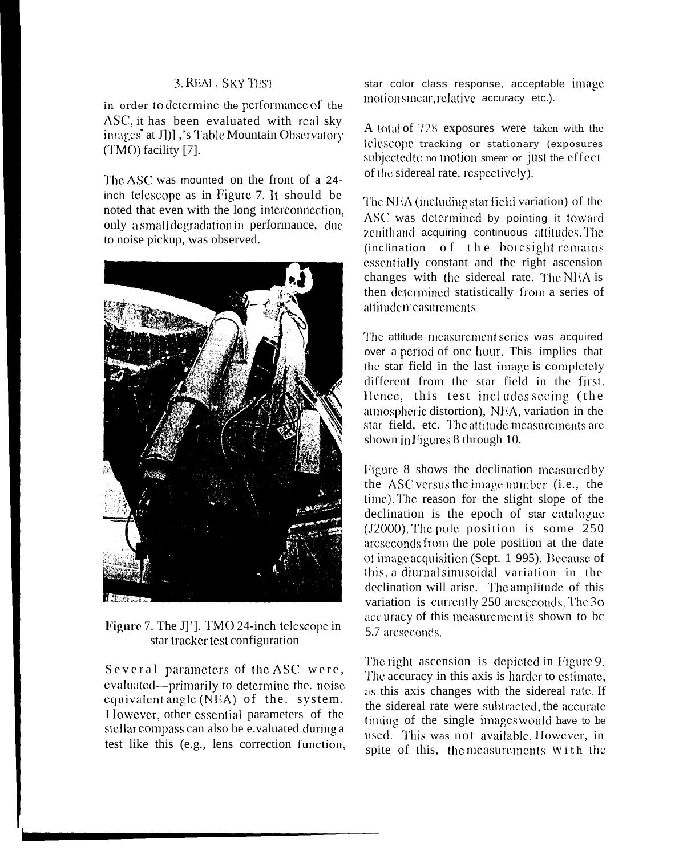## 3. REAL . SKY TEST

in order to determine the performance of the ASC, it has been evaluated with real sky images at J[1], 's Table Mountain Observatory (TMO) facility [7].

The ASC was mounted on the front of a 24inch telescope as in Figure 7. It should be noted that even with the long interconnection, only a small degradation in performance, due to noise pickup, was observed.



Figure 7. The J]']. TMO 24-inch telescope in star tracker test configuration

Several parameters of the ASC were, evaluated—primarily to determine the. noise equivalent angle  $(NEA)$  of the. system. I lowever, other essential parameters of the stellar compass can also be e.valuated during a test like this (e.g., lens correction function,

star color class response, acceptable image motionsmear, relative accuracy etc.).

A total of 728 exposures were taken with the telescope tracking or stationary (exposures subjected to no motion smear or just the effect of the sidereal rate, respectively).

The NEA (including star field variation) of the ASC was determined by pointing it toward zenithand acquiring continuous attitudes. The (inclination of the boresight remains essentially constant and the right ascension changes with the sidereal rate. The NEA is then determined statistically from a series of attitudemeasurements.

The attitude measurement series was acquired over a period of onc hour. This implies that the star field in the last image is completely different from the star field in the first. Hence, this test includes seeing (the atmospheric distortion), NEA, variation in the star field, etc. The attitude measurements are shown in Figures 8 through 10.

Figure 8 shows the declination measured by the ASC versus the image number (i.e., the time). The reason for the slight slope of the declination is the epoch of star catalogue  $(J2000)$ . The pole position is some 250 arcseconds from the pole position at the date of image acquisition (Sept. 1 995). Because of this, a diurnal sinusoidal variation in the declination will arise. The amplitude of this variation is currently 250 arcseconds. The  $3\sigma$ accuracy of this measurement is shown to be 5.7 arcseconds.

The right ascension is depicted in Figure 9. The accuracy in this axis is harder to estimate, as this axis changes with the sidereal rate. If the sidereal rate were subtracted, the accurate timing of the single images would have to be used. This was not available. However, in spite of this, the measurements With the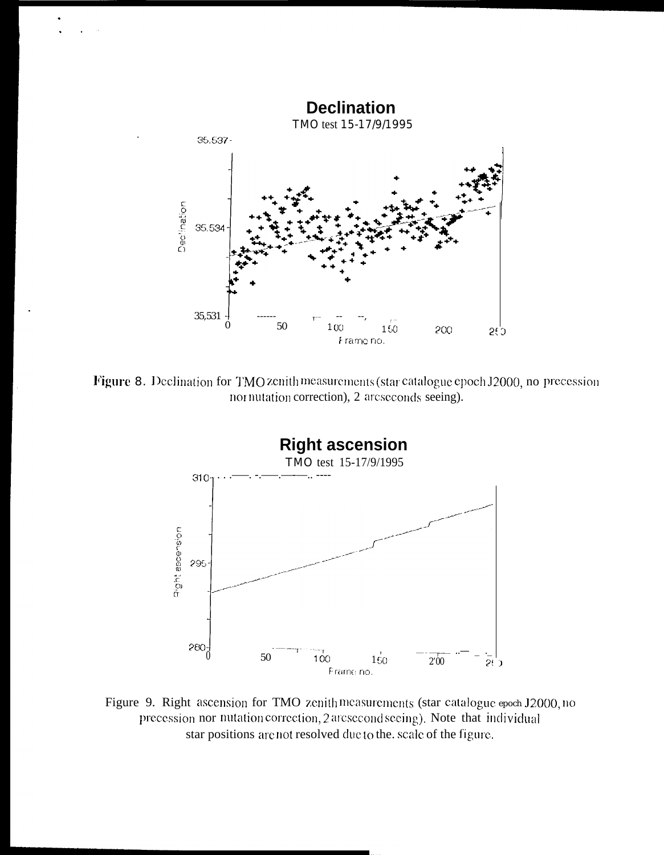

Figure 8. Declination for TMO zenith measurements (star catalogue epoch J2000, no precession nor nutation correction), 2 arcseconds seeing).



Figure 9. Right ascension for TMO zenith measurements (star catalogue epoch J2000, no precession nor nutation correction, 2 arcsecond seeing). Note that individual star positions are not resolved due to the. scale of the figure.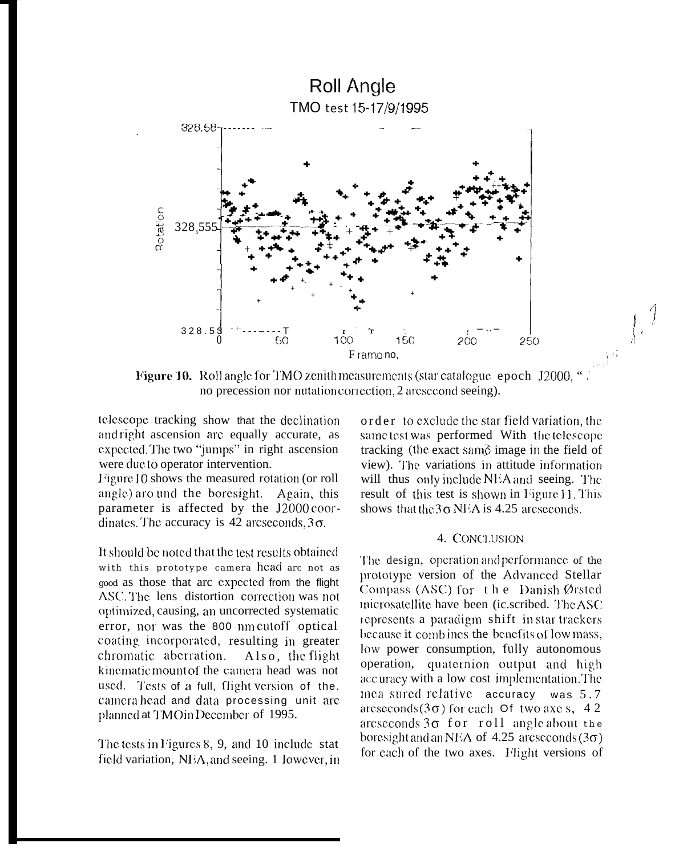

Figure 10. Roll angle for TMO zenith measurements (star catalogue epoch J2000, " no precession nor nutation correction, 2 arcsecond seeing).

telescope tracking show that the declination and right ascension are equally accurate, as expected. The two "jumps" in right ascension were due to operator intervention.

Figure 10 shows the measured rotation (or roll angle) aro und the boresight. Again, this parameter is affected by the J2000 coordinates. The accuracy is 42 arcseconds,  $3\sigma$ .

It should be noted that the test results obtained with this prototype camera head are not as good as those that arc expected from the flight ASC. The lens distortion correction was not optimized, causing, an uncorrected systematic error, nor was the 800 nm cutoff optical coating incorporated, resulting in greater chromatic aberration. Also, the flight kinematic mount of the camera head was not used. Tests of a full, flight version of the. camera head and data processing unit are planned at TMOinDecember of 1995.

The tests in Figures 8, 9, and 10 include stat field variation. NEA, and seeing, 1 lowever, in order to exclude the star field variation, the same test was performed With the telescope tracking (the exact same image in the field of view). The variations in attitude information will thus only include NEA and seeing. The result of this test is shown in Figure 11. This shows that the  $3\sigma$  NEA is 4.25 arcseconds.

 $\int_{\mathbb{R}^3} \int_{\mathbb{R}^3} \int_{\mathbb{R}^3}$ 

#### 4. CONCLUSION

The design, operation and performance of the prototype version of the Advanced Stellar Compass (ASC) for the Danish Ørsted microsatellite have been (ic.scribed. The ASC) represents a paradigm shift in star trackers because it combines the benefits of low mass, low power consumption, fully autonomous operation, quaternion output and high accuracy with a low cost implementation. The mea sured relative  $\alpha$  accuracy was  $5.7$  $arcseconds(3\sigma)$  for each Of two axe s, 42 arcseconds  $3\sigma$  for roll angle about the boresight and an NEA of 4.25 arcseconds  $(3\sigma)$ for each of the two axes. Flight versions of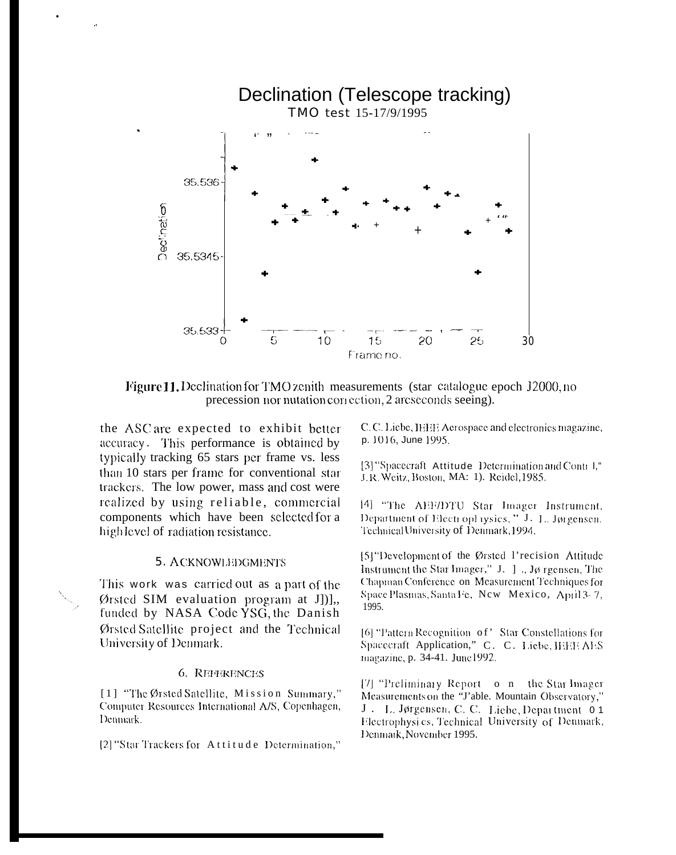

**Figure 11.** Declination for TMO zenith measurements (star catalogue epoch J2000, no precession nor nutation correction, 2 arcseconds seeing).

the ASC are expected to exhibit better accuracy. This performance is obtained by typically tracking 65 stars per frame vs. less than 10 stars per frame for conventional star trackers. The low power, mass and cost were realized by using reliable, commercial components which have been selected for a high level of radiation resistance.

## **5. ACKNOWLEDGMENTS**

This work was carried out as a part of the Ørsted SIM evaluation program at J[)], funded by NASA Code YSG, the Danish Ørsted Satellite project and the Technical University of Denmark.

#### 6. REFERENCES

[1] "The Ørsted Satellite, Mission Summary," Computer Resources International A/S, Copenhagen, Denmark.

[2] "Star Trackers for Attitude Determination,"

C. C. Liebe, IEEE Aerospace and electronics magazine, p. 1016, June 1995.

[3] "Spacecraft Attitude Determination and Contr I," J.R. Weitz, Boston, MA: 1). Reidel, 1985.

[4] "The AEF/DTU Star Imager Instrument, Department of Electrophysics," J. L. Jørgensen. Technical University of Denmark, 1994.

[5] "Development of the Ørsted 1'recision Attitude Instrument the Star Imager," J. J., Jø rgensen, The Chapman Conference on Measurement Techniques for Space Plasmas, Santa Fe, New Mexico, April 3-7, 1995.

[6] "Pattern Recognition of" Star Constellations for Spacecraft Application," C. C. Liebe, HHE AES magazine, p. 34-41. June1992.

[7] "Preliminary Report o n the Star Imager Measurements on the "J'able. Mountain Observatory," J. L. Jørgensen, C. C. Liebe, Department 0.1 Electrophysics, Technical University of Denmark, Denmark, November 1995.